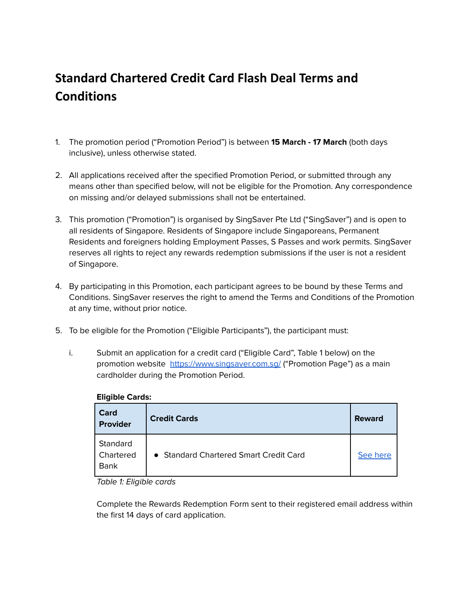## **Standard Chartered Credit Card Flash Deal Terms and Conditions**

- 1. The promotion period ("Promotion Period") is between **15 March - 17 March** (both days inclusive), unless otherwise stated.
- 2. All applications received after the specified Promotion Period, or submitted through any means other than specified below, will not be eligible for the Promotion. Any correspondence on missing and/or delayed submissions shall not be entertained.
- 3. This promotion ("Promotion") is organised by SingSaver Pte Ltd ("SingSaver") and is open to all residents of Singapore. Residents of Singapore include Singaporeans, Permanent Residents and foreigners holding Employment Passes, S Passes and work permits. SingSaver reserves all rights to reject any rewards redemption submissions if the user is not a resident of Singapore.
- 4. By participating in this Promotion, each participant agrees to be bound by these Terms and Conditions. SingSaver reserves the right to amend the Terms and Conditions of the Promotion at any time, without prior notice.
- 5. To be eligible for the Promotion ("Eligible Participants"), the participant must:
	- i. Submit an application for a credit card ("Eligible Card", Table 1 below) on the promotion website https://www.singsaver.com.sq/ ("Promotion Page") as a main cardholder during the Promotion Period.

| Card<br><b>Provider</b>              | <b>Credit Cards</b>                    | <b>Reward</b> |
|--------------------------------------|----------------------------------------|---------------|
| Standard<br>Chartered<br><b>Bank</b> | • Standard Chartered Smart Credit Card | See here      |

#### **Eligible Cards:**

Table 1: Eligible cards

Complete the Rewards Redemption Form sent to their registered email address within the first 14 days of card application.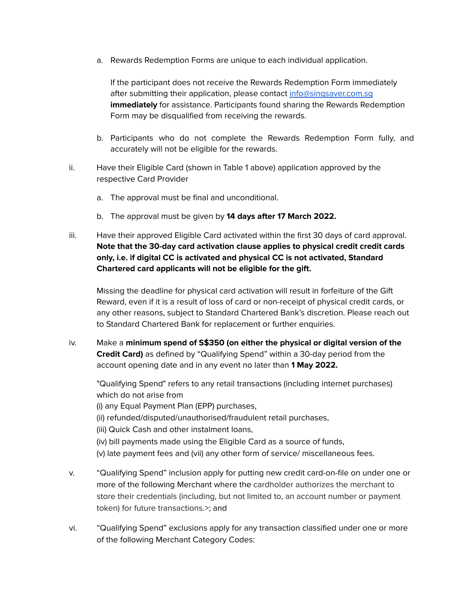a. Rewards Redemption Forms are unique to each individual application.

If the participant does not receive the Rewards Redemption Form immediately after submitting their application, please contact [info@singsaver.com.sg](mailto:info@singsaver.com.sg) **immediately** for assistance. Participants found sharing the Rewards Redemption Form may be disqualified from receiving the rewards.

- b. Participants who do not complete the Rewards Redemption Form fully, and accurately will not be eligible for the rewards.
- ii. Have their Eligible Card (shown in Table 1 above) application approved by the respective Card Provider
	- a. The approval must be final and unconditional.
	- b. The approval must be given by **14 days after 17 March 2022.**
- iii. Have their approved Eligible Card activated within the first 30 days of card approval. **Note that the 30-day card activation clause applies to physical credit credit cards only, i.e. if digital CC is activated and physical CC is not activated, Standard Chartered card applicants will not be eligible for the gift.**

Missing the deadline for physical card activation will result in forfeiture of the Gift Reward, even if it is a result of loss of card or non-receipt of physical credit cards, or any other reasons, subject to Standard Chartered Bank's discretion. Please reach out to Standard Chartered Bank for replacement or further enquiries.

iv. Make a **minimum spend of S\$350 (on either the physical or digital version of the Credit Card)** as defined by "Qualifying Spend" within a 30-day period from the account opening date and in any event no later than **1 May 2022.**

"Qualifying Spend" refers to any retail transactions (including internet purchases) which do not arise from (i) any Equal Payment Plan (EPP) purchases, (ii) refunded/disputed/unauthorised/fraudulent retail purchases, (iii) Quick Cash and other instalment loans, (iv) bill payments made using the Eligible Card as a source of funds, (v) late payment fees and (vii) any other form of service/ miscellaneous fees.

- v. "Qualifying Spend" inclusion apply for putting new credit card-on-file on under one or more of the following Merchant where the cardholder authorizes the merchant to store their credentials (including, but not limited to, an account number or payment token) for future transactions.>; and
- vi. "Qualifying Spend" exclusions apply for any transaction classified under one or more of the following Merchant Category Codes: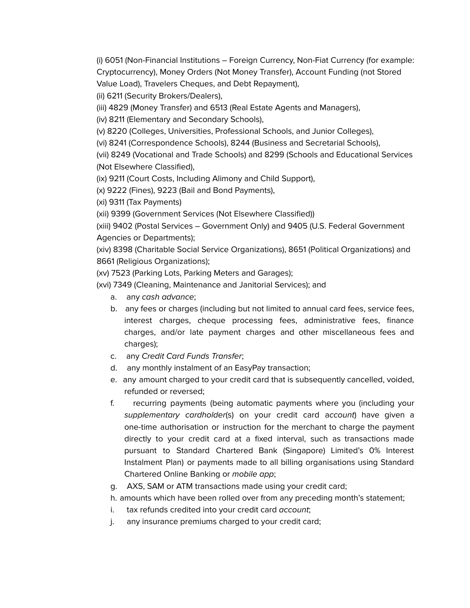(i) 6051 (Non-Financial Institutions – Foreign Currency, Non-Fiat Currency (for example: Cryptocurrency), Money Orders (Not Money Transfer), Account Funding (not Stored Value Load), Travelers Cheques, and Debt Repayment),

(ii) 6211 (Security Brokers/Dealers),

(iii) 4829 (Money Transfer) and 6513 (Real Estate Agents and Managers),

(iv) 8211 (Elementary and Secondary Schools),

(v) 8220 (Colleges, Universities, Professional Schools, and Junior Colleges),

(vi) 8241 (Correspondence Schools), 8244 (Business and Secretarial Schools),

(vii) 8249 (Vocational and Trade Schools) and 8299 (Schools and Educational Services (Not Elsewhere Classified),

(ix) 9211 (Court Costs, Including Alimony and Child Support),

(x) 9222 (Fines), 9223 (Bail and Bond Payments),

(xi) 9311 (Tax Payments)

(xii) 9399 (Government Services (Not Elsewhere Classified))

(xiii) 9402 (Postal Services – Government Only) and 9405 (U.S. Federal Government Agencies or Departments);

(xiv) 8398 (Charitable Social Service Organizations), 8651 (Political Organizations) and 8661 (Religious Organizations);

(xv) 7523 (Parking Lots, Parking Meters and Garages);

(xvi) 7349 (Cleaning, Maintenance and Janitorial Services); and

- a. any cash advance;
- b. any fees or charges (including but not limited to annual card fees, service fees, interest charges, cheque processing fees, administrative fees, finance charges, and/or late payment charges and other miscellaneous fees and charges);
- c. any Credit Card Funds Transfer;
- d. any monthly instalment of an EasyPay transaction;
- e. any amount charged to your credit card that is subsequently cancelled, voided, refunded or reversed;
- f. recurring payments (being automatic payments where you (including your supplementary cardholder(s) on your credit card account) have given a one-time authorisation or instruction for the merchant to charge the payment directly to your credit card at a fixed interval, such as transactions made pursuant to Standard Chartered Bank (Singapore) Limited's 0% Interest Instalment Plan) or payments made to all billing organisations using Standard Chartered Online Banking or mobile app;
- g. AXS, SAM or ATM transactions made using your credit card;
- h. amounts which have been rolled over from any preceding month's statement;
- i. tax refunds credited into your credit card account;
- j. any insurance premiums charged to your credit card;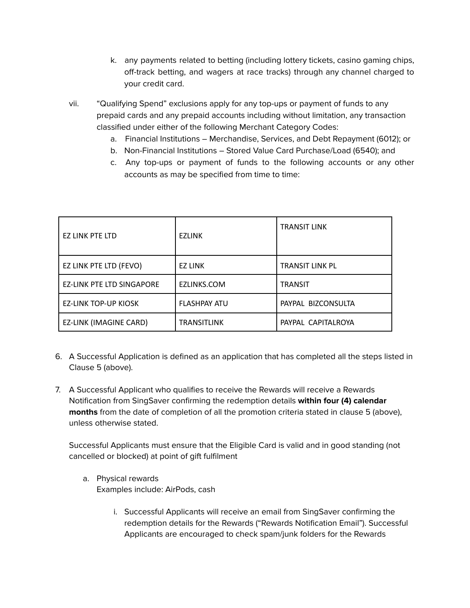- k. any payments related to betting (including lottery tickets, casino gaming chips, off-track betting, and wagers at race tracks) through any channel charged to your credit card.
- vii. "Qualifying Spend" exclusions apply for any top-ups or payment of funds to any prepaid cards and any prepaid accounts including without limitation, any transaction classified under either of the following Merchant Category Codes:
	- a. Financial Institutions Merchandise, Services, and Debt Repayment (6012); or
	- b. Non-Financial Institutions Stored Value Card Purchase/Load (6540); and
	- c. Any top-ups or payment of funds to the following accounts or any other accounts as may be specified from time to time:

| EZ LINK PTE LTD                  | <b>EZLINK</b>       | <b>TRANSIT LINK</b>    |
|----------------------------------|---------------------|------------------------|
| EZ LINK PTE LTD (FEVO)           | <b>EZ LINK</b>      | <b>TRANSIT LINK PL</b> |
| <b>EZ-LINK PTE LTD SINGAPORE</b> | EZLINKS.COM         | <b>TRANSIT</b>         |
| <b>EZ-LINK TOP-UP KIOSK</b>      | <b>FLASHPAY ATU</b> | PAYPAL BIZCONSULTA     |
| EZ-LINK (IMAGINE CARD)           | <b>TRANSITLINK</b>  | PAYPAL CAPITALROYA     |

- 6. A Successful Application is defined as an application that has completed all the steps listed in Clause 5 (above).
- 7. A Successful Applicant who qualifies to receive the Rewards will receive a Rewards Notification from SingSaver confirming the redemption details **within four (4) calendar months** from the date of completion of all the promotion criteria stated in clause 5 (above), unless otherwise stated.

Successful Applicants must ensure that the Eligible Card is valid and in good standing (not cancelled or blocked) at point of gift fulfilment

- a. Physical rewards Examples include: AirPods, cash
	- i. Successful Applicants will receive an email from SingSaver confirming the redemption details for the Rewards ("Rewards Notification Email"). Successful Applicants are encouraged to check spam/junk folders for the Rewards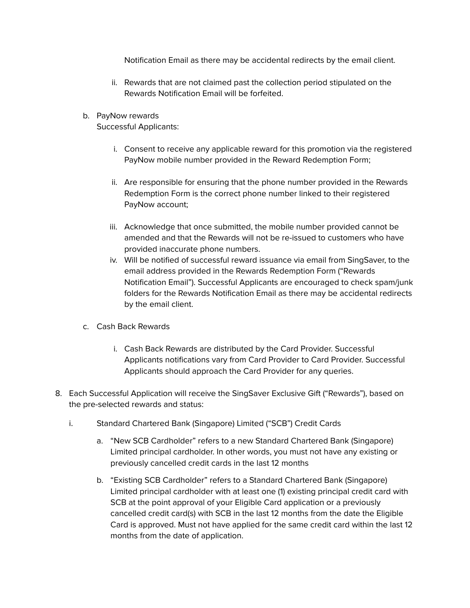Notification Email as there may be accidental redirects by the email client.

- ii. Rewards that are not claimed past the collection period stipulated on the Rewards Notification Email will be forfeited.
- b. PayNow rewards

Successful Applicants:

- i. Consent to receive any applicable reward for this promotion via the registered PayNow mobile number provided in the Reward Redemption Form;
- ii. Are responsible for ensuring that the phone number provided in the Rewards Redemption Form is the correct phone number linked to their registered PayNow account;
- iii. Acknowledge that once submitted, the mobile number provided cannot be amended and that the Rewards will not be re-issued to customers who have provided inaccurate phone numbers.
- iv. Will be notified of successful reward issuance via email from SingSaver, to the email address provided in the Rewards Redemption Form ("Rewards Notification Email"). Successful Applicants are encouraged to check spam/junk folders for the Rewards Notification Email as there may be accidental redirects by the email client.
- c. Cash Back Rewards
	- i. Cash Back Rewards are distributed by the Card Provider. Successful Applicants notifications vary from Card Provider to Card Provider. Successful Applicants should approach the Card Provider for any queries.
- 8. Each Successful Application will receive the SingSaver Exclusive Gift ("Rewards"), based on the pre-selected rewards and status:
	- i. Standard Chartered Bank (Singapore) Limited ("SCB") Credit Cards
		- a. "New SCB Cardholder" refers to a new Standard Chartered Bank (Singapore) Limited principal cardholder. In other words, you must not have any existing or previously cancelled credit cards in the last 12 months
		- b. "Existing SCB Cardholder" refers to a Standard Chartered Bank (Singapore) Limited principal cardholder with at least one (1) existing principal credit card with SCB at the point approval of your Eligible Card application or a previously cancelled credit card(s) with SCB in the last 12 months from the date the Eligible Card is approved. Must not have applied for the same credit card within the last 12 months from the date of application.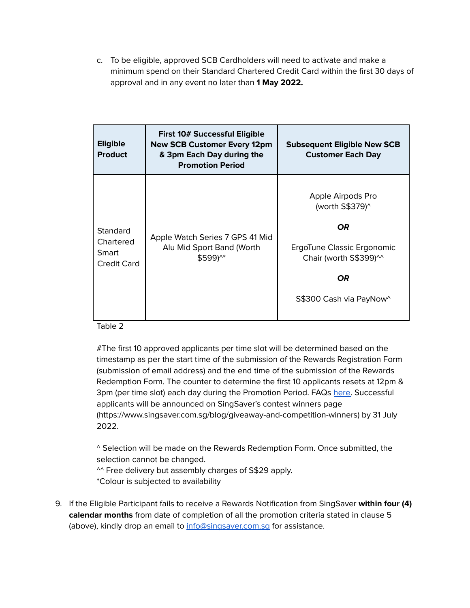c. To be eligible, approved SCB Cardholders will need to activate and make a minimum spend on their Standard Chartered Credit Card within the first 30 days of approval and in any event no later than **1 May 2022.**

<span id="page-5-0"></span>

| <b>Eligible</b><br><b>Product</b>             | First 10# Successful Eligible<br><b>New SCB Customer Every 12pm</b><br>& 3pm Each Day during the<br><b>Promotion Period</b> | <b>Subsequent Eligible New SCB</b><br><b>Customer Each Day</b>                                                                              |
|-----------------------------------------------|-----------------------------------------------------------------------------------------------------------------------------|---------------------------------------------------------------------------------------------------------------------------------------------|
| Standard<br>Chartered<br>Smart<br>Credit Card | Apple Watch Series 7 GPS 41 Mid<br>Alu Mid Sport Band (Worth<br>\$599)^*                                                    | Apple Airpods Pro<br>(worth S\$379)^<br>OR.<br>ErgoTune Classic Ergonomic<br>Chair (worth S\$399)^^<br><b>OR</b><br>S\$300 Cash via PayNow^ |

Table 2

#The first 10 approved applicants per time slot will be determined based on the timestamp as per the start time of the submission of the Rewards Registration Form (submission of email address) and the end time of the submission of the Rewards Redemption Form. The counter to determine the first 10 applicants resets at 12pm & 3pm (per time slot) each day during the Promotion Period. FAQs [here.](https://singsaver.zendesk.com/hc/en-us/articles/4406822606873-How-does-SingSaver-select-the-eligible-applicants-for-promotions-with-a-fastest-fingers-first-e-g-first-XX-mechanics-) Successful applicants will be announced on SingSaver's contest winners page (https://www.singsaver.com.sg/blog/giveaway-and-competition-winners) by 31 July 2022.

^ Selection will be made on the Rewards Redemption Form. Once submitted, the selection cannot be changed.

^^ Free delivery but assembly charges of S\$29 apply. \*Colour is subjected to availability

9. If the Eligible Participant fails to receive a Rewards Notification from SingSaver **within four (4) calendar months** from date of completion of all the promotion criteria stated in clause 5 (above), kindly drop an email to info@singsaver.com.sq for assistance.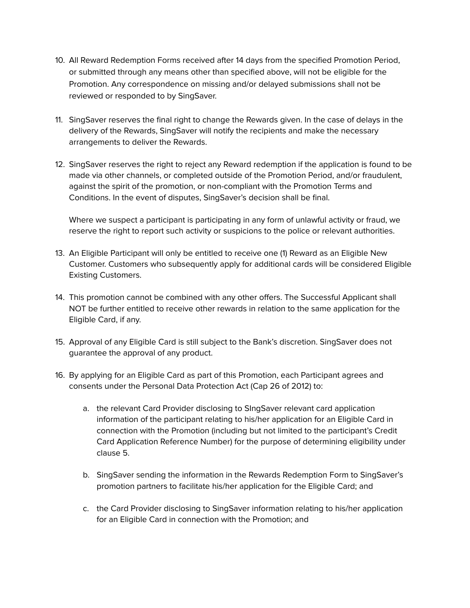- 10. All Reward Redemption Forms received after 14 days from the specified Promotion Period, or submitted through any means other than specified above, will not be eligible for the Promotion. Any correspondence on missing and/or delayed submissions shall not be reviewed or responded to by SingSaver.
- 11. SingSaver reserves the final right to change the Rewards given. In the case of delays in the delivery of the Rewards, SingSaver will notify the recipients and make the necessary arrangements to deliver the Rewards.
- 12. SingSaver reserves the right to reject any Reward redemption if the application is found to be made via other channels, or completed outside of the Promotion Period, and/or fraudulent, against the spirit of the promotion, or non-compliant with the Promotion Terms and Conditions. In the event of disputes, SingSaver's decision shall be final.

Where we suspect a participant is participating in any form of unlawful activity or fraud, we reserve the right to report such activity or suspicions to the police or relevant authorities.

- 13. An Eligible Participant will only be entitled to receive one (1) Reward as an Eligible New Customer. Customers who subsequently apply for additional cards will be considered Eligible Existing Customers.
- 14. This promotion cannot be combined with any other offers. The Successful Applicant shall NOT be further entitled to receive other rewards in relation to the same application for the Eligible Card, if any.
- 15. Approval of any Eligible Card is still subject to the Bank's discretion. SingSaver does not guarantee the approval of any product.
- 16. By applying for an Eligible Card as part of this Promotion, each Participant agrees and consents under the Personal Data Protection Act (Cap 26 of 2012) to:
	- a. the relevant Card Provider disclosing to SIngSaver relevant card application information of the participant relating to his/her application for an Eligible Card in connection with the Promotion (including but not limited to the participant's Credit Card Application Reference Number) for the purpose of determining eligibility under clause 5.
	- b. SingSaver sending the information in the Rewards Redemption Form to SingSaver's promotion partners to facilitate his/her application for the Eligible Card; and
	- c. the Card Provider disclosing to SingSaver information relating to his/her application for an Eligible Card in connection with the Promotion; and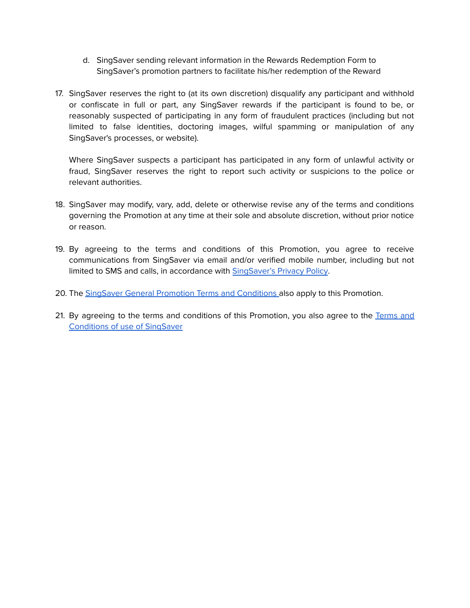- d. SingSaver sending relevant information in the Rewards Redemption Form to SingSaver's promotion partners to facilitate his/her redemption of the Reward
- 17. SingSaver reserves the right to (at its own discretion) disqualify any participant and withhold or confiscate in full or part, any SingSaver rewards if the participant is found to be, or reasonably suspected of participating in any form of fraudulent practices (including but not limited to false identities, doctoring images, wilful spamming or manipulation of any SingSaver's processes, or website).

Where SingSaver suspects a participant has participated in any form of unlawful activity or fraud, SingSaver reserves the right to report such activity or suspicions to the police or relevant authorities.

- 18. SingSaver may modify, vary, add, delete or otherwise revise any of the terms and conditions governing the Promotion at any time at their sole and absolute discretion, without prior notice or reason.
- 19. By agreeing to the terms and conditions of this Promotion, you agree to receive communications from SingSaver via email and/or verified mobile number, including but not limited to SMS and calls, in accordance with [SingSaver's](https://www.singsaver.com.sg/privacy-policy) Privacy Policy.
- 20. The SingSaver General Promotion Terms and [Conditions](#page-8-0) also apply to this Promotion.
- 21. By agreeing to the terms and conditions of this Promotion, you also agree to the [Terms](https://www.singsaver.com.sg/terms) and [Conditions](https://www.singsaver.com.sg/terms) of use of SingSaver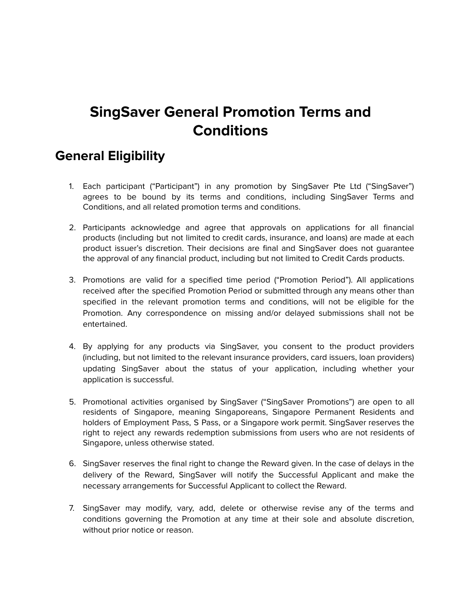# **SingSaver General Promotion Terms and Conditions**

### <span id="page-8-0"></span>**General Eligibility**

- 1. Each participant ("Participant") in any promotion by SingSaver Pte Ltd ("SingSaver") agrees to be bound by its terms and conditions, including SingSaver Terms and Conditions, and all related promotion terms and conditions.
- 2. Participants acknowledge and agree that approvals on applications for all financial products (including but not limited to credit cards, insurance, and loans) are made at each product issuer's discretion. Their decisions are final and SingSaver does not guarantee the approval of any financial product, including but not limited to Credit Cards products.
- 3. Promotions are valid for a specified time period ("Promotion Period"). All applications received after the specified Promotion Period or submitted through any means other than specified in the relevant promotion terms and conditions, will not be eligible for the Promotion. Any correspondence on missing and/or delayed submissions shall not be entertained.
- 4. By applying for any products via SingSaver, you consent to the product providers (including, but not limited to the relevant insurance providers, card issuers, loan providers) updating SingSaver about the status of your application, including whether your application is successful.
- 5. Promotional activities organised by SingSaver ("SingSaver Promotions") are open to all residents of Singapore, meaning Singaporeans, Singapore Permanent Residents and holders of Employment Pass, S Pass, or a Singapore work permit. SingSaver reserves the right to reject any rewards redemption submissions from users who are not residents of Singapore, unless otherwise stated.
- 6. SingSaver reserves the final right to change the Reward given. In the case of delays in the delivery of the Reward, SingSaver will notify the Successful Applicant and make the necessary arrangements for Successful Applicant to collect the Reward.
- 7. SingSaver may modify, vary, add, delete or otherwise revise any of the terms and conditions governing the Promotion at any time at their sole and absolute discretion, without prior notice or reason.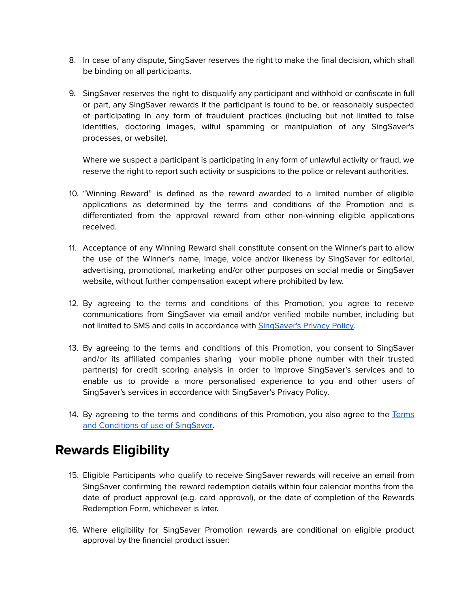- 8. In case of any dispute, SingSaver reserves the right to make the final decision, which shall be binding on all participants.
- 9. SingSaver reserves the right to disqualify any participant and withhold or confiscate in full or part, any SingSaver rewards if the participant is found to be, or reasonably suspected of participating in any form of fraudulent practices (including but not limited to false identities, doctoring images, wilful spamming or manipulation of any SingSaver's processes, or website).

Where we suspect a participant is participating in any form of unlawful activity or fraud, we reserve the right to report such activity or suspicions to the police or relevant authorities.

- 10. "Winning Reward" is defined as the reward awarded to a limited number of eligible applications as determined by the terms and conditions of the Promotion and is differentiated from the approval reward from other non-winning eligible applications received.
- 11. Acceptance of any Winning Reward shall constitute consent on the Winner's part to allow the use of the Winner's name, image, voice and/or likeness by SingSaver for editorial, advertising, promotional, marketing and/or other purposes on social media or SingSaver website, without further compensation except where prohibited by law.
- 12. By agreeing to the terms and conditions of this Promotion, you agree to receive communications from SingSaver via email and/or verified mobile number, including but not limited to SMS and calls in accordance with [SingSaver's](https://www.singsaver.com.sg/privacy-policy) Privacy Policy.
- 13. By agreeing to the terms and conditions of this Promotion, you consent to SingSaver and/or its affiliated companies sharing your mobile phone number with their trusted partner(s) for credit scoring analysis in order to improve SingSaver's services and to enable us to provide a more personalised experience to you and other users of SingSaver's services in accordance with SingSaver's Privacy Policy.
- 14. By agreeing to the terms and conditions of this Promotion, you also agree to the [Terms](https://www.singsaver.com.sg/terms) and [Conditions](https://www.singsaver.com.sg/terms) of use of SingSaver.

### **Rewards Eligibility**

- 15. Eligible Participants who qualify to receive SingSaver rewards will receive an email from SingSaver confirming the reward redemption details within four calendar months from the date of product approval (e.g. card approval), or the date of completion of the Rewards Redemption Form, whichever is later.
- 16. Where eligibility for SingSaver Promotion rewards are conditional on eligible product approval by the financial product issuer: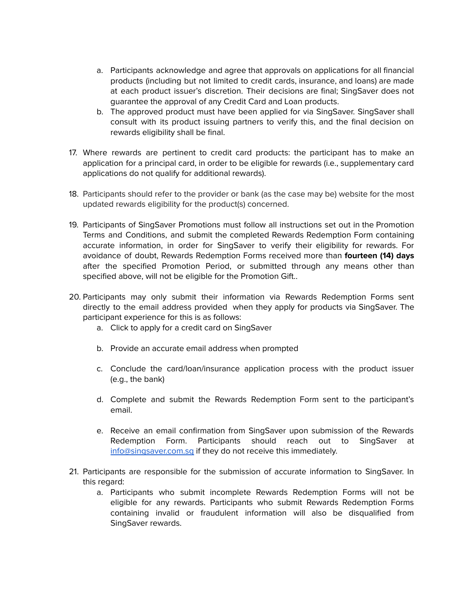- a. Participants acknowledge and agree that approvals on applications for all financial products (including but not limited to credit cards, insurance, and loans) are made at each product issuer's discretion. Their decisions are final; SingSaver does not guarantee the approval of any Credit Card and Loan products.
- b. The approved product must have been applied for via SingSaver. SingSaver shall consult with its product issuing partners to verify this, and the final decision on rewards eligibility shall be final.
- 17. Where rewards are pertinent to credit card products: the participant has to make an application for a principal card, in order to be eligible for rewards (i.e., supplementary card applications do not qualify for additional rewards).
- 18. Participants should refer to the provider or bank (as the case may be) website for the most updated rewards eligibility for the product(s) concerned.
- 19. Participants of SingSaver Promotions must follow all instructions set out in the Promotion Terms and Conditions, and submit the completed Rewards Redemption Form containing accurate information, in order for SingSaver to verify their eligibility for rewards. For avoidance of doubt, Rewards Redemption Forms received more than **fourteen (14) days** after the specified Promotion Period, or submitted through any means other than specified above, will not be eligible for the Promotion Gift..
- 20. Participants may only submit their information via Rewards Redemption Forms sent directly to the email address provided when they apply for products via SingSaver. The participant experience for this is as follows:
	- a. Click to apply for a credit card on SingSaver
	- b. Provide an accurate email address when prompted
	- c. Conclude the card/loan/insurance application process with the product issuer (e.g., the bank)
	- d. Complete and submit the Rewards Redemption Form sent to the participant's email.
	- e. Receive an email confirmation from SingSaver upon submission of the Rewards Redemption Form. Participants should reach out to SingSaver at [info@singsaver.com.sg](mailto:info@singsaver.com.sg) if they do not receive this immediately.
- 21. Participants are responsible for the submission of accurate information to SingSaver. In this regard:
	- a. Participants who submit incomplete Rewards Redemption Forms will not be eligible for any rewards. Participants who submit Rewards Redemption Forms containing invalid or fraudulent information will also be disqualified from SingSaver rewards.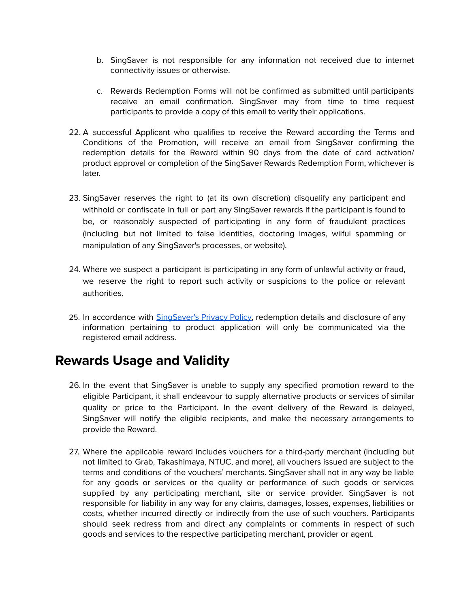- b. SingSaver is not responsible for any information not received due to internet connectivity issues or otherwise.
- c. Rewards Redemption Forms will not be confirmed as submitted until participants receive an email confirmation. SingSaver may from time to time request participants to provide a copy of this email to verify their applications.
- 22. A successful Applicant who qualifies to receive the Reward according the Terms and Conditions of the Promotion, will receive an email from SingSaver confirming the redemption details for the Reward within 90 days from the date of card activation/ product approval or completion of the SingSaver Rewards Redemption Form, whichever is later.
- 23. SingSaver reserves the right to (at its own discretion) disqualify any participant and withhold or confiscate in full or part any SingSaver rewards if the participant is found to be, or reasonably suspected of participating in any form of fraudulent practices (including but not limited to false identities, doctoring images, wilful spamming or manipulation of any SingSaver's processes, or website).
- 24. Where we suspect a participant is participating in any form of unlawful activity or fraud, we reserve the right to report such activity or suspicions to the police or relevant authorities.
- 25. In accordance with **[SingSaver's](https://www.singsaver.com.sg/privacy-policy) Privacy Policy**, redemption details and disclosure of any information pertaining to product application will only be communicated via the registered email address.

### **Rewards Usage and Validity**

- 26. In the event that SingSaver is unable to supply any specified promotion reward to the eligible Participant, it shall endeavour to supply alternative products or services of similar quality or price to the Participant. In the event delivery of the Reward is delayed, SingSaver will notify the eligible recipients, and make the necessary arrangements to provide the Reward.
- 27. Where the applicable reward includes vouchers for a third-party merchant (including but not limited to Grab, Takashimaya, NTUC, and more), all vouchers issued are subject to the terms and conditions of the vouchers' merchants. SingSaver shall not in any way be liable for any goods or services or the quality or performance of such goods or services supplied by any participating merchant, site or service provider. SingSaver is not responsible for liability in any way for any claims, damages, losses, expenses, liabilities or costs, whether incurred directly or indirectly from the use of such vouchers. Participants should seek redress from and direct any complaints or comments in respect of such goods and services to the respective participating merchant, provider or agent.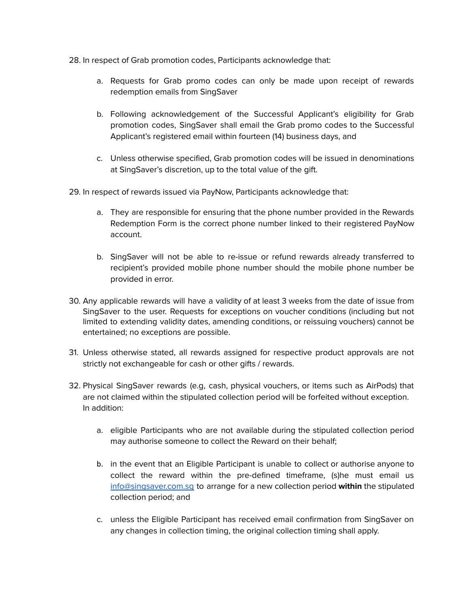- 28. In respect of Grab promotion codes, Participants acknowledge that:
	- a. Requests for Grab promo codes can only be made upon receipt of rewards redemption emails from SingSaver
	- b. Following acknowledgement of the Successful Applicant's eligibility for Grab promotion codes, SingSaver shall email the Grab promo codes to the Successful Applicant's registered email within fourteen (14) business days, and
	- c. Unless otherwise specified, Grab promotion codes will be issued in denominations at SingSaver's discretion, up to the total value of the gift.
- 29. In respect of rewards issued via PayNow, Participants acknowledge that:
	- a. They are responsible for ensuring that the phone number provided in the Rewards Redemption Form is the correct phone number linked to their registered PayNow account.
	- b. SingSaver will not be able to re-issue or refund rewards already transferred to recipient's provided mobile phone number should the mobile phone number be provided in error.
- 30. Any applicable rewards will have a validity of at least 3 weeks from the date of issue from SingSaver to the user. Requests for exceptions on voucher conditions (including but not limited to extending validity dates, amending conditions, or reissuing vouchers) cannot be entertained; no exceptions are possible.
- 31. Unless otherwise stated, all rewards assigned for respective product approvals are not strictly not exchangeable for cash or other gifts / rewards.
- 32. Physical SingSaver rewards (e.g, cash, physical vouchers, or items such as AirPods) that are not claimed within the stipulated collection period will be forfeited without exception. In addition:
	- a. eligible Participants who are not available during the stipulated collection period may authorise someone to collect the Reward on their behalf;
	- b. in the event that an Eligible Participant is unable to collect or authorise anyone to collect the reward within the pre-defined timeframe, (s)he must email us [info@singsaver.com.sg](mailto:info@singsaver.com.sg) to arrange for a new collection period **within** the stipulated collection period; and
	- c. unless the Eligible Participant has received email confirmation from SingSaver on any changes in collection timing, the original collection timing shall apply.